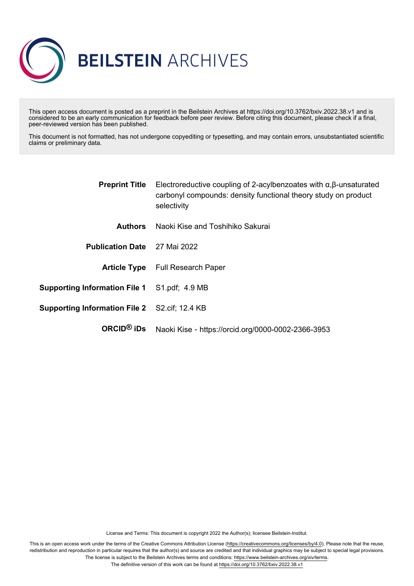

This open access document is posted as a preprint in the Beilstein Archives at https://doi.org/10.3762/bxiv.2022.38.v1 and is considered to be an early communication for feedback before peer review. Before citing this document, please check if a final, peer-reviewed version has been published.

This document is not formatted, has not undergone copyediting or typesetting, and may contain errors, unsubstantiated scientific claims or preliminary data.

|                                                      | <b>Preprint Title</b> Electroreductive coupling of 2-acylbenzoates with $\alpha, \beta$ -unsaturated<br>carbonyl compounds: density functional theory study on product<br>selectivity |
|------------------------------------------------------|---------------------------------------------------------------------------------------------------------------------------------------------------------------------------------------|
| <b>Authors</b>                                       | Naoki Kise and Toshihiko Sakurai                                                                                                                                                      |
| <b>Publication Date</b> 27 Mai 2022                  |                                                                                                                                                                                       |
|                                                      | <b>Article Type</b> Full Research Paper                                                                                                                                               |
| <b>Supporting Information File 1</b> S1.pdf; 4.9 MB  |                                                                                                                                                                                       |
| <b>Supporting Information File 2</b> S2.cif; 12.4 KB |                                                                                                                                                                                       |
| ORCID $@$ iDs                                        | Naoki Kise - https://orcid.org/0000-0002-2366-3953                                                                                                                                    |
|                                                      |                                                                                                                                                                                       |

License and Terms: This document is copyright 2022 the Author(s); licensee Beilstein-Institut.

This is an open access work under the terms of the Creative Commons Attribution License [\(https://creativecommons.org/licenses/by/4.0\)](https://creativecommons.org/licenses/by/4.0). Please note that the reuse, redistribution and reproduction in particular requires that the author(s) and source are credited and that individual graphics may be subject to special legal provisions. The license is subject to the Beilstein Archives terms and conditions: [https://www.beilstein-archives.org/xiv/terms.](https://www.beilstein-archives.org/xiv/terms)

The definitive version of this work can be found at <https://doi.org/10.3762/bxiv.2022.38.v1>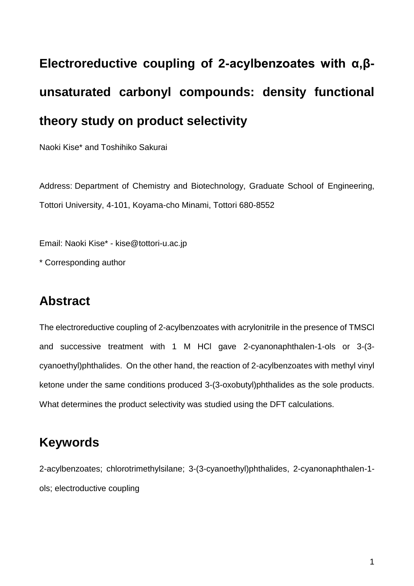# **Electroreductive coupling of 2-acylbenzoates with α,βunsaturated carbonyl compounds: density functional theory study on product selectivity**

Naoki Kise\* and Toshihiko Sakurai

Address: Department of Chemistry and Biotechnology, Graduate School of Engineering, Tottori University, 4-101, Koyama-cho Minami, Tottori 680-8552

Email: Naoki Kise\* - kise@tottori-u.ac.jp

\* Corresponding author

#### **Abstract**

The electroreductive coupling of 2-acylbenzoates with acrylonitrile in the presence of TMSCl and successive treatment with 1 M HCl gave 2-cyanonaphthalen-1-ols or 3-(3 cyanoethyl)phthalides. On the other hand, the reaction of 2-acylbenzoates with methyl vinyl ketone under the same conditions produced 3-(3-oxobutyl)phthalides as the sole products. What determines the product selectivity was studied using the DFT calculations.

#### **Keywords**

2-acylbenzoates; chlorotrimethylsilane; 3-(3-cyanoethyl)phthalides, 2-cyanonaphthalen-1 ols; electroductive coupling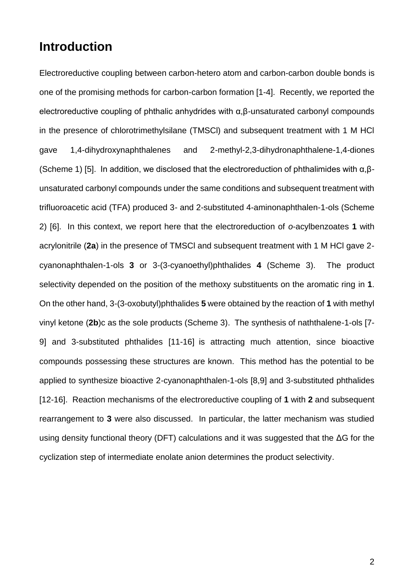#### **Introduction**

Electroreductive coupling between carbon-hetero atom and carbon-carbon double bonds is one of the promising methods for carbon-carbon formation [1-4]. Recently, we reported the electroreductive coupling of phthalic anhydrides with α,β-unsaturated carbonyl compounds in the presence of chlorotrimethylsilane (TMSCl) and subsequent treatment with 1 M HCl gave 1,4-dihydroxynaphthalenes and 2-methyl-2,3-dihydronaphthalene-1,4-diones (Scheme 1) [5]. In addition, we disclosed that the electroreduction of phthalimides with  $\alpha, \beta$ unsaturated carbonyl compounds under the same conditions and subsequent treatment with trifluoroacetic acid (TFA) produced 3- and 2-substituted 4-aminonaphthalen-1-ols (Scheme 2) [6]. In this context, we report here that the electroreduction of *o*-acylbenzoates **1** with acrylonitrile (**2a**) in the presence of TMSCl and subsequent treatment with 1 M HCl gave 2 cyanonaphthalen-1-ols **3** or 3-(3-cyanoethyl)phthalides **4** (Scheme 3). The product selectivity depended on the position of the methoxy substituents on the aromatic ring in **1**. On the other hand, 3-(3-oxobutyl)phthalides **5** were obtained by the reaction of **1** with methyl vinyl ketone (**2b**)c as the sole products (Scheme 3). The synthesis of naththalene-1-ols [7- 9] and 3-substituted phthalides [11-16] is attracting much attention, since bioactive compounds possessing these structures are known. This method has the potential to be applied to synthesize bioactive 2-cyanonaphthalen-1-ols [8,9] and 3-substituted phthalides [12-16]. Reaction mechanisms of the electroreductive coupling of **1** with **2** and subsequent rearrangement to **3** were also discussed. In particular, the latter mechanism was studied using density functional theory (DFT) calculations and it was suggested that the ΔG for the cyclization step of intermediate enolate anion determines the product selectivity.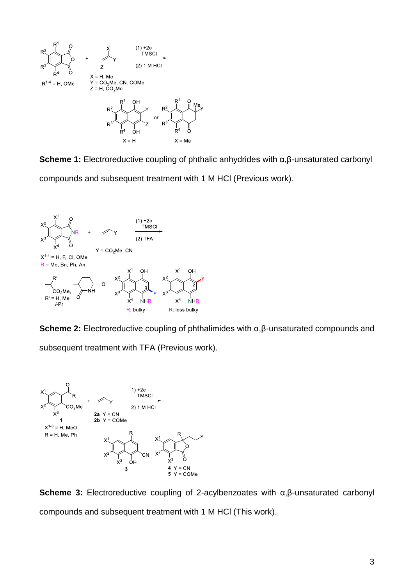

**Scheme 1:** Electroreductive coupling of phthalic anhydrides with α,β-unsaturated carbonyl compounds and subsequent treatment with 1 M HCl (Previous work).



**Scheme 2:** Electroreductive coupling of phthalimides with α,β-unsaturated compounds and subsequent treatment with TFA (Previous work).



**Scheme 3:** Electroreductive coupling of 2-acylbenzoates with α,β-unsaturated carbonyl compounds and subsequent treatment with 1 M HCl (This work).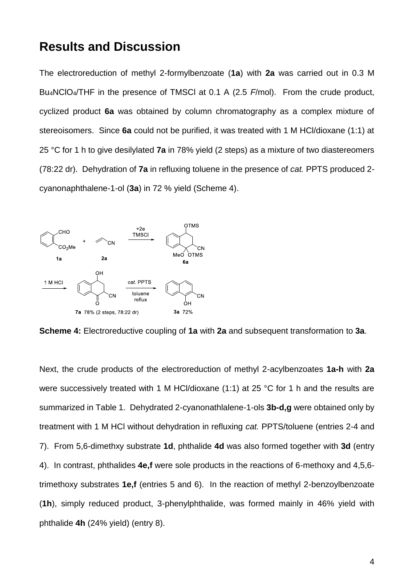#### **Results and Discussion**

The electroreduction of methyl 2-formylbenzoate (**1a**) with **2a** was carried out in 0.3 M Bu4NClO4/THF in the presence of TMSCl at 0.1 A (2.5 *F*/mol). From the crude product, cyclized product **6a** was obtained by column chromatography as a complex mixture of stereoisomers. Since **6a** could not be purified, it was treated with 1 M HCl/dioxane (1:1) at 25 °C for 1 h to give desilylated **7a** in 78% yield (2 steps) as a mixture of two diastereomers (78:22 dr). Dehydration of **7a** in refluxing toluene in the presence of *cat.* PPTS produced 2 cyanonaphthalene-1-ol (**3a**) in 72 % yield (Scheme 4).



**Scheme 4:** Electroreductive coupling of **1a** with **2a** and subsequent transformation to **3a**.

Next, the crude products of the electroreduction of methyl 2-acylbenzoates **1a-h** with **2a** were successively treated with 1 M HCl/dioxane (1:1) at 25 °C for 1 h and the results are summarized in Table 1. Dehydrated 2-cyanonathlalene-1-ols **3b-d,g** were obtained only by treatment with 1 M HCl without dehydration in refluxing *cat.* PPTS/toluene (entries 2-4 and 7). From 5,6-dimethxy substrate **1d**, phthalide **4d** was also formed together with **3d** (entry 4). In contrast, phthalides **4e,f** were sole products in the reactions of 6-methoxy and 4,5,6 trimethoxy substrates **1e,f** (entries 5 and 6). In the reaction of methyl 2-benzoylbenzoate (**1h**), simply reduced product, 3-phenylphthalide, was formed mainly in 46% yield with phthalide **4h** (24% yield) (entry 8).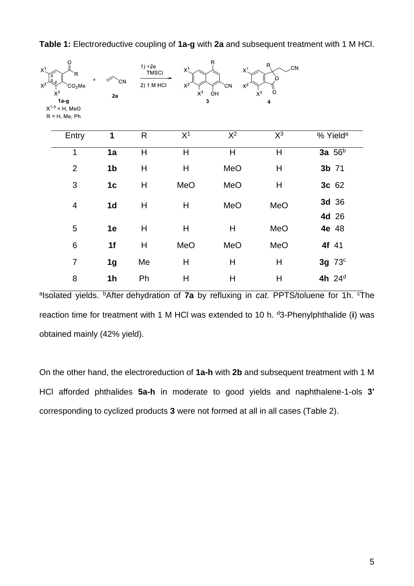| $X^1$<br>$X^2$ | റ<br>R<br>4<br>$\ddot{}$<br>CO <sub>2</sub> Me<br>$X^3$<br>$1a-q$<br>$X^{1-3} = H$ , MeO<br>$R = H$ , Me, Ph | `CΝ<br>2a      | $1) + 2e$<br><b>TMSCI</b><br>2) 1 M HCl | $X^1$<br>$X^2$<br>$X^3$<br>3 | Ŗ<br>$X^1$<br>$X^2$<br>`CN<br>ÒН | R<br><b>CN</b><br>Ω<br>$X^3$<br>Ω<br>4 |                      |
|----------------|--------------------------------------------------------------------------------------------------------------|----------------|-----------------------------------------|------------------------------|----------------------------------|----------------------------------------|----------------------|
|                | Entry                                                                                                        | 1              | R                                       | X <sup>1</sup>               | $\overline{\mathsf{X}^2}$        | $X^3$                                  | % Yield <sup>a</sup> |
|                | 1                                                                                                            | 1a             | $\mathsf{H}%$                           | $\mathsf{H}$                 | Η                                | H                                      | 3a $56b$             |
|                | $\overline{2}$                                                                                               | 1 <sub>b</sub> | H                                       | $\mathsf{H}$                 | MeO                              | Η                                      | 3b 71                |
|                | 3                                                                                                            | 1 <sub>c</sub> | $\mathsf{H}%$                           | MeO                          | MeO                              | H                                      | 3c 62                |
|                | $\overline{4}$                                                                                               | 1 <sub>d</sub> | H                                       | H                            | MeO                              | MeO                                    | 3d 36<br>4d 26       |
|                | 5                                                                                                            | 1e             | $\mathsf{H}%$                           | $\boldsymbol{\mathsf{H}}$    | Η                                | MeO                                    | 4e 48                |
|                | 6                                                                                                            | 1f             | $\mathsf{H}%$                           | MeO                          | MeO                              | MeO                                    | 4f 41                |
|                | $\overline{7}$                                                                                               | 1 <sub>g</sub> | Me                                      | $\boldsymbol{\mathsf{H}}$    | Η                                | Н                                      | 3g 73c               |
|                | 8                                                                                                            | 1 <sub>h</sub> | Ph                                      | $\mathsf{H}$                 | H                                | Η                                      | 4h 24 <sup>d</sup>   |

**Table 1:** Electroreductive coupling of **1a-g** with **2a** and subsequent treatment with 1 M HCl.

<sup>a</sup>lsolated yields. <sup>b</sup>After dehydration of 7a by refluxing in *cat.* PPTS/toluene for 1h. <sup>c</sup>The reaction time for treatment with 1 M HCl was extended to 10 h. <sup>d</sup>3-Phenylphthalide (**i**) was obtained mainly (42% yield).

On the other hand, the electroreduction of **1a-h** with **2b** and subsequent treatment with 1 M HCl afforded phthalides **5a-h** in moderate to good yields and naphthalene-1-ols **3'**  corresponding to cyclized products **3** were not formed at all in all cases (Table 2).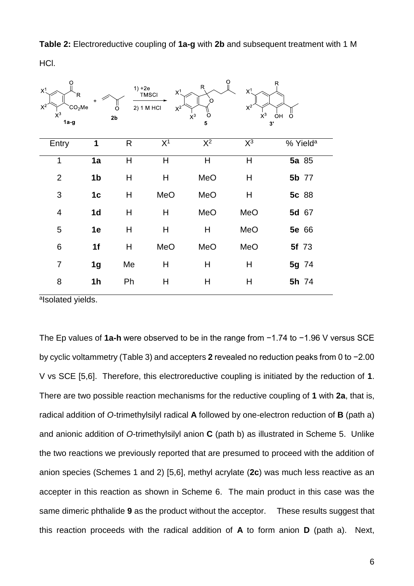**Table 2:** Electroreductive coupling of **1a-g** with **2b** and subsequent treatment with 1 M

HCl.

| O<br>$X^1$<br>R<br>$X^2$<br>CO <sub>2</sub> Me<br>$X^3$<br>$1a-g$ | $\ddot{}$      | $1) + 2e$<br>Ω<br>2 <sub>b</sub> | $X^1$<br><b>TMSCI</b><br>2) 1 M HCl<br>$X^2$ | O<br>$R_{i}$<br>$X^3$<br>$\circ$<br>5 | $X^1$<br>$X^2$<br>$X^3$<br>3' | Ŗ<br>ÒН<br>O         |
|-------------------------------------------------------------------|----------------|----------------------------------|----------------------------------------------|---------------------------------------|-------------------------------|----------------------|
| Entry                                                             | 1              | R                                | X <sup>1</sup>                               | $\overline{\mathsf{X}^2}$             | $\overline{\mathsf{X}^3}$     | % Yield <sup>a</sup> |
| 1                                                                 | 1a             | H                                | H                                            | H                                     | H                             | 5a 85                |
| $\overline{2}$                                                    | 1 <sub>b</sub> | H                                | H                                            | MeO                                   | Н                             | 5b 77                |
| $\mathfrak{S}$                                                    | 1 <sub>c</sub> | H                                | MeO                                          | MeO                                   | H                             | 5c 88                |
| $\overline{4}$                                                    | 1 <sub>d</sub> | H                                | H                                            | MeO                                   | MeO                           | 5d 67                |
| 5                                                                 | 1e             | H                                | H                                            | Н                                     | MeO                           | 5e 66                |
| $\,6$                                                             | 1f             | $\boldsymbol{\mathsf{H}}$        | MeO                                          | MeO                                   | MeO                           | <b>5f</b> 73         |
| $\overline{7}$                                                    | 1 <sub>g</sub> | Me                               | Н                                            | Н                                     | H                             | 5g 74                |
| 8                                                                 | 1 <sub>h</sub> | Ph                               | H                                            | Η                                     | H                             | 5h 74                |

alsolated yields.

The Ep values of **1a-h** were observed to be in the range from −1.74 to −1.96 V versus SCE by cyclic voltammetry (Table 3) and accepters **2** revealed no reduction peaks from 0 to −2.00 V vs SCE [5,6]. Therefore, this electroreductive coupling is initiated by the reduction of **1**. There are two possible reaction mechanisms for the reductive coupling of **1** with **2a**, that is, radical addition of *O*-trimethylsilyl radical **A** followed by one-electron reduction of **B** (path a) and anionic addition of *O*-trimethylsilyl anion **C** (path b) as illustrated in Scheme 5. Unlike the two reactions we previously reported that are presumed to proceed with the addition of anion species (Schemes 1 and 2) [5,6], methyl acrylate (**2c**) was much less reactive as an accepter in this reaction as shown in Scheme 6. The main product in this case was the same dimeric phthalide **9** as the product without the acceptor. These results suggest that this reaction proceeds with the radical addition of **A** to form anion **D** (path a). Next,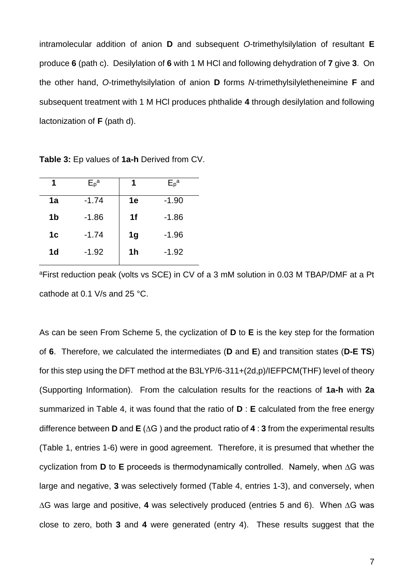intramolecular addition of anion **D** and subsequent *O*-trimethylsilylation of resultant **E** produce **6** (path c). Desilylation of **6** with 1 M HCl and following dehydration of **7** give **3**. On the other hand, *O*-trimethylsilylation of anion **D** forms *N*-trimethylsilyletheneimine **F** and subsequent treatment with 1 M HCl produces phthalide **4** through desilylation and following lactonization of **F** (path d).

| 1              | $E_{p}^{a}$ | 1              | $E_{p}^{a}$ |
|----------------|-------------|----------------|-------------|
| 1a             | $-1.74$     | 1e             | $-1.90$     |
| 1 <sub>b</sub> | $-1.86$     | 1f             | $-1.86$     |
| 1 <sub>c</sub> | $-1.74$     | 1 <sub>g</sub> | $-1.96$     |
| 1d             | $-1.92$     | 1 <sub>h</sub> | $-1.92$     |
|                |             |                |             |

**Table 3:** Ep values of **1a-h** Derived from CV.

<sup>a</sup>First reduction peak (volts vs SCE) in CV of a 3 mM solution in 0.03 M TBAP/DMF at a Pt cathode at 0.1 V/s and 25 °C.

As can be seen From Scheme 5, the cyclization of **D** to **E** is the key step for the formation of **6**. Therefore, we calculated the intermediates (**D** and **E**) and transition states (**D-E TS**) for this step using the DFT method at the B3LYP/6-311+(2d,p)/IEFPCM(THF) level of theory (Supporting Information). From the calculation results for the reactions of **1a-h** with **2a** summarized in Table 4, it was found that the ratio of **D** : **E** calculated from the free energy difference between **D** and **E** (∆G ) and the product ratio of **4** : **3** from the experimental results (Table 1, entries 1-6) were in good agreement. Therefore, it is presumed that whether the cyclization from **D** to **E** proceeds is thermodynamically controlled. Namely, when ∆G was large and negative, **3** was selectively formed (Table 4, entries 1-3), and conversely, when ∆G was large and positive, **4** was selectively produced (entries 5 and 6). When ∆G was close to zero, both **3** and **4** were generated (entry 4). These results suggest that the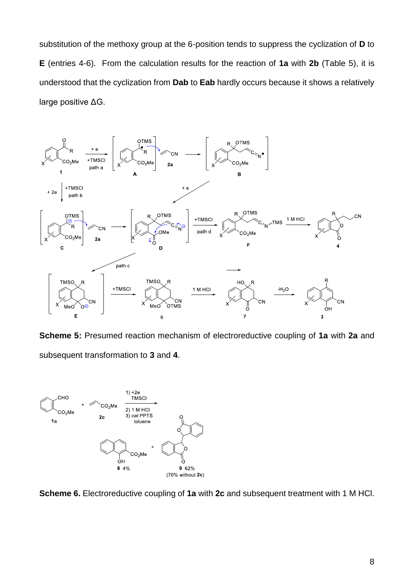substitution of the methoxy group at the 6-position tends to suppress the cyclization of **D** to **E** (entries 4-6). From the calculation results for the reaction of **1a** with **2b** (Table 5), it is understood that the cyclization from **Dab** to **Eab** hardly occurs because it shows a relatively large positive ΔG.



**Scheme 5:** Presumed reaction mechanism of electroreductive coupling of **1a** with **2a** and subsequent transformation to **3** and **4**.



**Scheme 6.** Electroreductive coupling of **1a** with **2c** and subsequent treatment with 1 M HCl.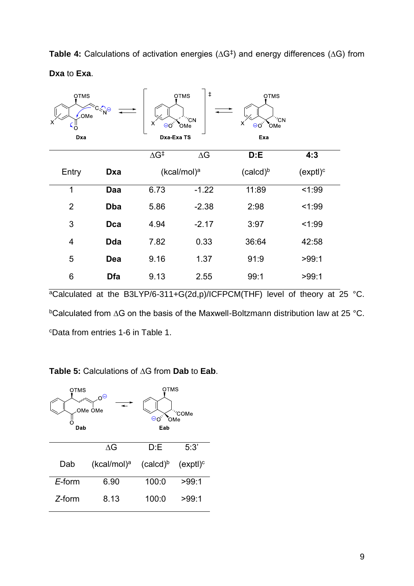| <b>Table 4:</b> Calculations of activation energies ( $\Delta G^{\ddagger}$ ) and energy differences ( $\Delta G$ ) from |  |  |  |  |
|--------------------------------------------------------------------------------------------------------------------------|--|--|--|--|
| Dxa to Exa.                                                                                                              |  |  |  |  |

| <b>OTMS</b><br><b>OMe</b><br>X<br>Dxa | ্থ⊝        | х<br>$\Theta$ O<br>Dxa-Exa TS | $\ddagger$<br><b>OTMS</b><br>$^{\prime}$ CN<br>OMe | <b>OTMS</b><br>'CN<br>х<br>$\Theta$ O'<br>OMe<br>Exa |                      |
|---------------------------------------|------------|-------------------------------|----------------------------------------------------|------------------------------------------------------|----------------------|
|                                       |            | $\Delta G^{\ddagger}$         | $\Delta G$                                         | D: E                                                 | 4:3                  |
| Entry                                 | Dxa        |                               | (kcal/mol) <sup>a</sup>                            | (calcd) <sup>b</sup>                                 | (exptl) <sup>c</sup> |
| $\mathbf 1$                           | Daa        | 6.73                          | $-1.22$                                            | 11:89                                                | 1:99                 |
| $\overline{2}$                        | <b>Dba</b> | 5.86                          | $-2.38$                                            | 2:98                                                 | < 1:99               |
| 3                                     | Dca        | 4.94                          | $-2.17$                                            | 3:97                                                 | < 1:99               |
| 4                                     | <b>Dda</b> | 7.82                          | 0.33                                               | 36:64                                                | 42:58                |
| 5                                     | Dea        | 9.16                          | 1.37                                               | 91:9                                                 | >99:1                |
| 6                                     | Dfa        | 9.13                          | 2.55                                               | 99:1                                                 | >99:1                |

<sup>a</sup>Calculated at the B3LYP/6-311+G(2d,p)/ICFPCM(THF) level of theory at 25 °C. <sup>b</sup>Calculated from ∆G on the basis of the Maxwell-Boltzmann distribution law at 25 °C. <sup>c</sup>Data from entries 1-6 in Table 1.

#### **Table 5:** Calculations of ∆G from **Dab** to **Eab**.

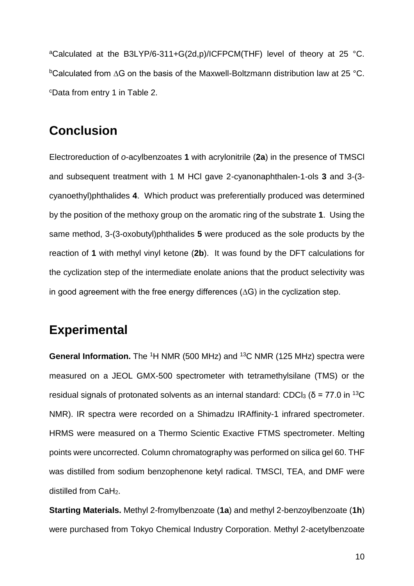<sup>a</sup>Calculated at the B3LYP/6-311+G(2d,p)/ICFPCM(THF) level of theory at 25 °C. <sup>b</sup>Calculated from ∆G on the basis of the Maxwell-Boltzmann distribution law at 25 °C. <sup>c</sup>Data from entry 1 in Table 2.

#### **Conclusion**

Electroreduction of *o*-acylbenzoates **1** with acrylonitrile (**2a**) in the presence of TMSCl and subsequent treatment with 1 M HCl gave 2-cyanonaphthalen-1-ols **3** and 3-(3 cyanoethyl)phthalides **4**. Which product was preferentially produced was determined by the position of the methoxy group on the aromatic ring of the substrate **1**. Using the same method, 3-(3-oxobutyl)phthalides **5** were produced as the sole products by the reaction of **1** with methyl vinyl ketone (**2b**). It was found by the DFT calculations for the cyclization step of the intermediate enolate anions that the product selectivity was in good agreement with the free energy differences (∆G) in the cyclization step.

#### **Experimental**

**General Information.** The <sup>1</sup>H NMR (500 MHz) and <sup>13</sup>C NMR (125 MHz) spectra were measured on a JEOL GMX-500 spectrometer with tetramethylsilane (TMS) or the residual signals of protonated solvents as an internal standard: CDCl<sub>3</sub> (δ = 77.0 in <sup>13</sup>C NMR). IR spectra were recorded on a Shimadzu IRAffinity-1 infrared spectrometer. HRMS were measured on a Thermo Scientic Exactive FTMS spectrometer. Melting points were uncorrected. Column chromatography was performed on silica gel 60. THF was distilled from sodium benzophenone ketyl radical. TMSCl, TEA, and DMF were distilled from CaH2.

**Starting Materials.** Methyl 2-fromylbenzoate (**1a**) and methyl 2-benzoylbenzoate (**1h**) were purchased from Tokyo Chemical Industry Corporation. Methyl 2-acetylbenzoate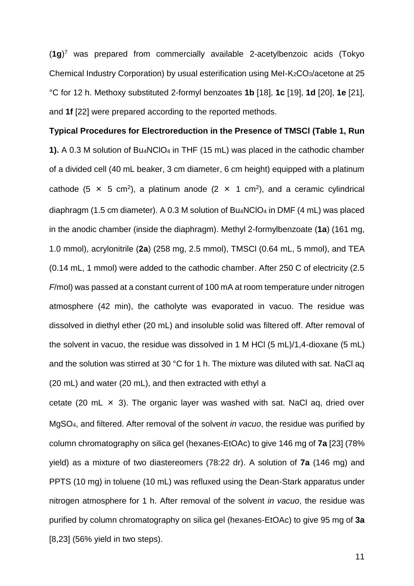(**1g**) <sup>7</sup> was prepared from commercially available 2-acetylbenzoic acids (Tokyo Chemical Industry Corporation) by usual esterification using MeI-K2CO3/acetone at 25 °C for 12 h. Methoxy substituted 2-formyl benzoates **1b** [18], **1c** [19], **1d** [20], **1e** [21], and **1f** [22] were prepared according to the reported methods.

## **Typical Procedures for Electroreduction in the Presence of TMSCl (Table 1, Run 1).** A 0.3 M solution of Bu4NClO<sup>4</sup> in THF (15 mL) was placed in the cathodic chamber of a divided cell (40 mL beaker, 3 cm diameter, 6 cm height) equipped with a platinum cathode (5  $\times$  5 cm<sup>2</sup>), a platinum anode (2  $\times$  1 cm<sup>2</sup>), and a ceramic cylindrical diaphragm (1.5 cm diameter). A 0.3 M solution of Bu4NClO<sup>4</sup> in DMF (4 mL) was placed in the anodic chamber (inside the diaphragm). Methyl 2-formylbenzoate (**1a**) (161 mg, 1.0 mmol), acrylonitrile (**2a**) (258 mg, 2.5 mmol), TMSCl (0.64 mL, 5 mmol), and TEA (0.14 mL, 1 mmol) were added to the cathodic chamber. After 250 C of electricity (2.5 *F*/mol) was passed at a constant current of 100 mA at room temperature under nitrogen atmosphere (42 min), the catholyte was evaporated in vacuo. The residue was dissolved in diethyl ether (20 mL) and insoluble solid was filtered off. After removal of the solvent in vacuo, the residue was dissolved in 1 M HCl (5 mL)/1,4-dioxane (5 mL) and the solution was stirred at 30 °C for 1 h. The mixture was diluted with sat. NaCl aq (20 mL) and water (20 mL), and then extracted with ethyl a

cetate (20 mL  $\times$  3). The organic layer was washed with sat. NaCl aq, dried over MgSO4, and filtered. After removal of the solvent *in vacuo*, the residue was purified by column chromatography on silica gel (hexanes-EtOAc) to give 146 mg of **7a** [23] (78% yield) as a mixture of two diastereomers (78:22 dr). A solution of **7a** (146 mg) and PPTS (10 mg) in toluene (10 mL) was refluxed using the Dean-Stark apparatus under nitrogen atmosphere for 1 h. After removal of the solvent *in vacuo*, the residue was purified by column chromatography on silica gel (hexanes-EtOAc) to give 95 mg of **3a** [8,23] (56% yield in two steps).

11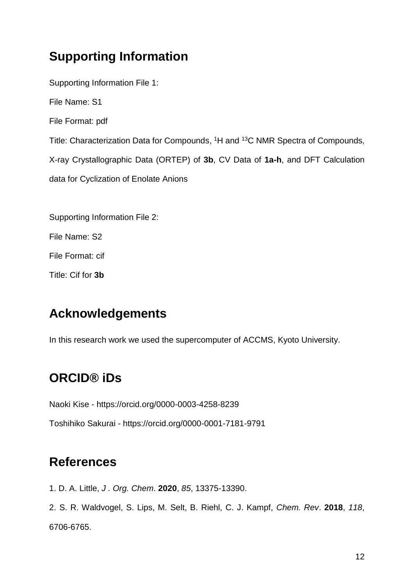### **Supporting Information**

Supporting Information File 1: File Name: S1 File Format: pdf Title: Characterization Data for Compounds, <sup>1</sup>H and <sup>13</sup>C NMR Spectra of Compounds, X-ray Crystallographic Data (ORTEP) of **3b**, CV Data of **1a-h**, and DFT Calculation data for Cyclization of Enolate Anions

Supporting Information File 2:

File Name: S2

File Format: cif

Title: Cif for **3b**

#### **Acknowledgements**

In this research work we used the supercomputer of ACCMS, Kyoto University.

#### **ORCID® iDs**

Naoki Kise - https://orcid.org/0000-0003-4258-8239

Toshihiko Sakurai - https://orcid.org/0000-0001-7181-9791

#### **References**

1. D. A. Little, *J . Org. Chem*. **2020**, *85*, 13375-13390.

2. S. R. Waldvogel, S. Lips, M. Selt, B. Riehl, C. J. Kampf, *Chem. Rev*. **2018**, *118*, 6706-6765.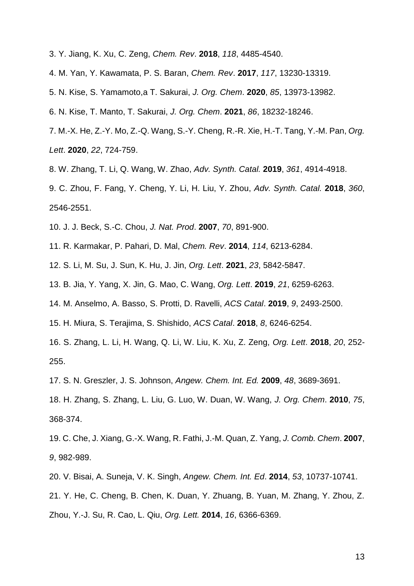- 3. Y. Jiang, K. Xu, C. Zeng, *Chem. Rev*. **2018**, *118*, 4485-4540.
- 4. M. Yan, Y. Kawamata, P. S. Baran, *Chem. Rev*. **2017**, *117*, 13230-13319.
- 5. N. Kise, S. Yamamoto,a T. Sakurai, *J. Org. Chem*. **2020**, *85*, 13973-13982.
- 6. N. Kise, T. Manto, T. Sakurai, *J. Org. Chem*. **2021**, *86*, 18232-18246.
- 7. M.-X. He, Z.-Y. Mo, Z.-Q. Wang, S.-Y. Cheng, R.-R. Xie, H.-T. Tang, Y.-M. Pan, *Org. Lett*. **2020**, *22*, 724-759.
- 8. W. Zhang, T. Li, Q. Wang, W. Zhao, *Adv. Synth. Catal.* **2019**, *361*, 4914-4918.
- 9. C. Zhou, F. Fang, Y. Cheng, Y. Li, H. Liu, Y. Zhou, *Adv. Synth. Catal.* **2018**, *360*, 2546-2551.
- 10. J. J. Beck, S.-C. Chou, *J. Nat. Prod*. **2007**, *70*, 891-900.
- 11. R. Karmakar, P. Pahari, D. Mal, *Chem. Rev*. **2014**, *114*, 6213-6284.
- 12. S. Li, M. Su, J. Sun, K. Hu, J. Jin, *Org. Lett*. **2021**, *23*, 5842-5847.
- 13. B. Jia, Y. Yang, X. Jin, G. Mao, C. Wang, *Org. Lett*. **2019**, *21*, 6259-6263.
- 14. M. Anselmo, A. Basso, S. Protti, D. Ravelli, *ACS Catal*. **2019**, *9*, 2493-2500.
- 15. H. Miura, S. Terajima, S. Shishido, *ACS Catal*. **2018**, *8*, 6246-6254.
- 16. S. Zhang, L. Li, H. Wang, Q. Li, W. Liu, K. Xu, Z. Zeng, *Org. Lett*. **2018**, *20*, 252- 255.
- 17. S. N. Greszler, J. S. Johnson, *Angew. Chem. Int. Ed.* **2009**, *48*, 3689-3691.
- 18. H. Zhang, S. Zhang, L. Liu, G. Luo, W. Duan, W. Wang, *J. Org. Chem*. **2010**, *75*, 368-374.
- 19. C. Che, J. Xiang, G.-X. Wang, R. Fathi, J.-M. Quan, Z. Yang, *J. Comb. Chem*. **2007**, *9*, 982-989.
- 20. V. Bisai, A. Suneja, V. K. Singh, *Angew. Chem. Int. Ed*. **2014**, *53*, 10737-10741.
- 21. Y. He, C. Cheng, B. Chen, K. Duan, Y. Zhuang, B. Yuan, M. Zhang, Y. Zhou, Z. Zhou, Y.-J. Su, R. Cao, L. Qiu, *Org. Lett.* **2014**, *16*, 6366-6369.